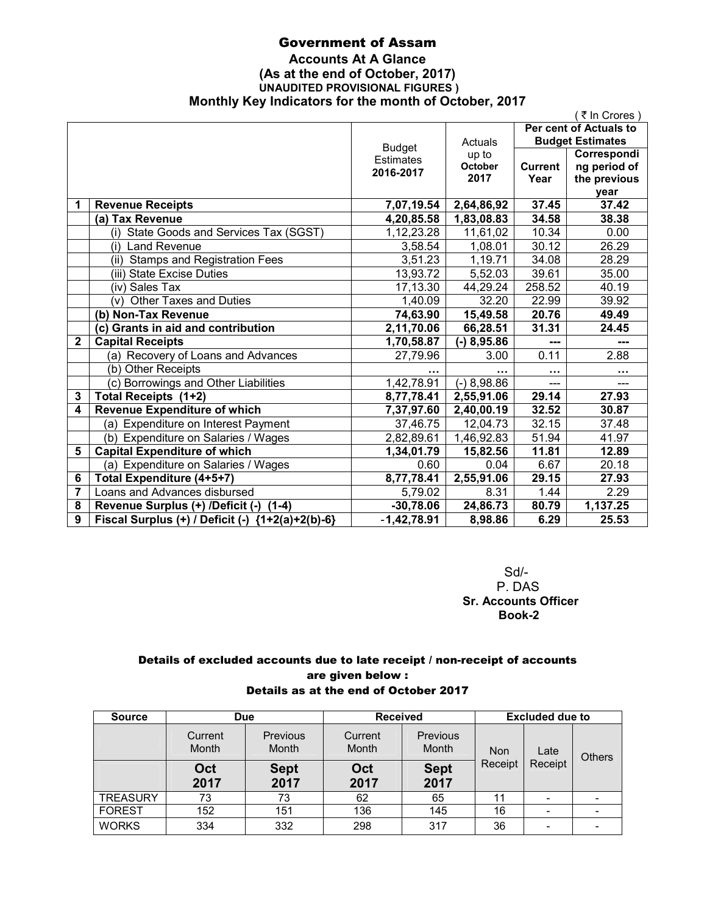# Government of Assam

# **Accounts At A Glance (As at the end of October, 2017) UNAUDITED PROVISIONAL FIGURES ) Monthly Key Indicators for the month of October, 2017**

|              |                                                                |                  |                     |                        | ₹ In Crores)            |  |
|--------------|----------------------------------------------------------------|------------------|---------------------|------------------------|-------------------------|--|
|              |                                                                |                  | Actuals             | Per cent of Actuals to |                         |  |
|              |                                                                | <b>Budget</b>    |                     |                        | <b>Budget Estimates</b> |  |
|              |                                                                | <b>Estimates</b> | up to               |                        | Correspondi             |  |
|              |                                                                | 2016-2017        | October<br>2017     | <b>Current</b>         | ng period of            |  |
|              |                                                                |                  |                     | Year                   | the previous            |  |
| 1            | <b>Revenue Receipts</b>                                        | 7,07,19.54       | 2,64,86,92          | 37.45                  | vear<br>37.42           |  |
|              | (a) Tax Revenue                                                | 4,20,85.58       | 1,83,08.83          | 34.58                  | 38.38                   |  |
|              | (i) State Goods and Services Tax (SGST)                        | 1,12,23.28       |                     | 10.34                  | 0.00                    |  |
|              | (i) Land Revenue                                               | 3,58.54          | 11,61,02<br>1,08.01 | 30.12                  | 26.29                   |  |
|              |                                                                | 3,51.23          | 1,19.71             | 34.08                  | 28.29                   |  |
|              | (ii) Stamps and Registration Fees<br>(iii) State Excise Duties | 13,93.72         | 5,52.03             | 39.61                  | 35.00                   |  |
|              |                                                                |                  |                     | 258.52                 |                         |  |
|              | (iv) Sales Tax                                                 | 17,13.30         | 44,29.24            |                        | 40.19                   |  |
|              | <b>Other Taxes and Duties</b><br>(v)                           | 1,40.09          | 32.20               | 22.99                  | 39.92                   |  |
|              | (b) Non-Tax Revenue                                            | 74,63.90         | 15,49.58            | 20.76                  | 49.49                   |  |
|              | (c) Grants in aid and contribution                             | 2,11,70.06       | 66,28.51            | 31.31                  | 24.45                   |  |
| $\mathbf{2}$ | <b>Capital Receipts</b>                                        | 1,70,58.87       | $(-)$ 8,95.86       | ---                    | ---                     |  |
|              | (a) Recovery of Loans and Advances                             | 27,79.96         | 3.00                | 0.11                   | 2.88                    |  |
|              | (b) Other Receipts                                             |                  |                     |                        | $\cdots$                |  |
|              | (c) Borrowings and Other Liabilities                           | 1,42,78.91       | $(-) 8,98.86$       |                        |                         |  |
| 3            | Total Receipts (1+2)                                           | 8,77,78.41       | 2,55,91.06          | 29.14                  | 27.93                   |  |
| 4            | <b>Revenue Expenditure of which</b>                            | 7,37,97.60       | 2,40,00.19          | 32.52                  | 30.87                   |  |
|              | (a) Expenditure on Interest Payment                            | 37,46.75         | 12,04.73            | 32.15                  | 37.48                   |  |
|              | (b) Expenditure on Salaries / Wages                            | 2,82,89.61       | 1,46,92.83          | 51.94                  | 41.97                   |  |
| 5            | <b>Capital Expenditure of which</b>                            | 1,34,01.79       | 15,82.56            | 11.81                  | 12.89                   |  |
|              | (a) Expenditure on Salaries / Wages                            | 0.60             | 0.04                | 6.67                   | 20.18                   |  |
| 6            | Total Expenditure (4+5+7)                                      | 8,77,78.41       | 2,55,91.06          | 29.15                  | 27.93                   |  |
| 7            | Loans and Advances disbursed                                   | 5,79.02          | 8.31                | 1.44                   | 2.29                    |  |
| 8            | Revenue Surplus (+) /Deficit (-)<br>$(1-4)$                    | $-30,78.06$      | 24,86.73            | 80.79                  | 1,137.25                |  |
| 9            | Fiscal Surplus (+) / Deficit (-) {1+2(a)+2(b)-6}               | $-1,42,78.91$    | 8,98.86             | 6.29                   | 25.53                   |  |

 Sd/- P. DAS  **Sr. Accounts Officer Book-2** 

# Details of excluded accounts due to late receipt / non-receipt of accounts are given below : Details as at the end of October 2017

| <b>Source</b>   | Due              |                          | <b>Received</b>  |                     | <b>Excluded due to</b> |         |      |               |
|-----------------|------------------|--------------------------|------------------|---------------------|------------------------|---------|------|---------------|
|                 | Current<br>Month | <b>Previous</b><br>Month | Current<br>Month | Previous<br>Month   | <b>Non</b><br>Receipt  |         | Late | <b>Others</b> |
|                 | Oct<br>2017      | <b>Sept</b><br>2017      | Oct<br>2017      | <b>Sept</b><br>2017 |                        | Receipt |      |               |
|                 |                  |                          |                  |                     |                        |         |      |               |
| <b>TREASURY</b> | 73               | 73                       | 62               | 65                  | 11                     | -       |      |               |
| <b>FOREST</b>   | 152              | 151                      | 136              | 145                 | 16                     | -       |      |               |
| <b>WORKS</b>    | 334              | 332                      | 298              | 317                 | 36                     |         |      |               |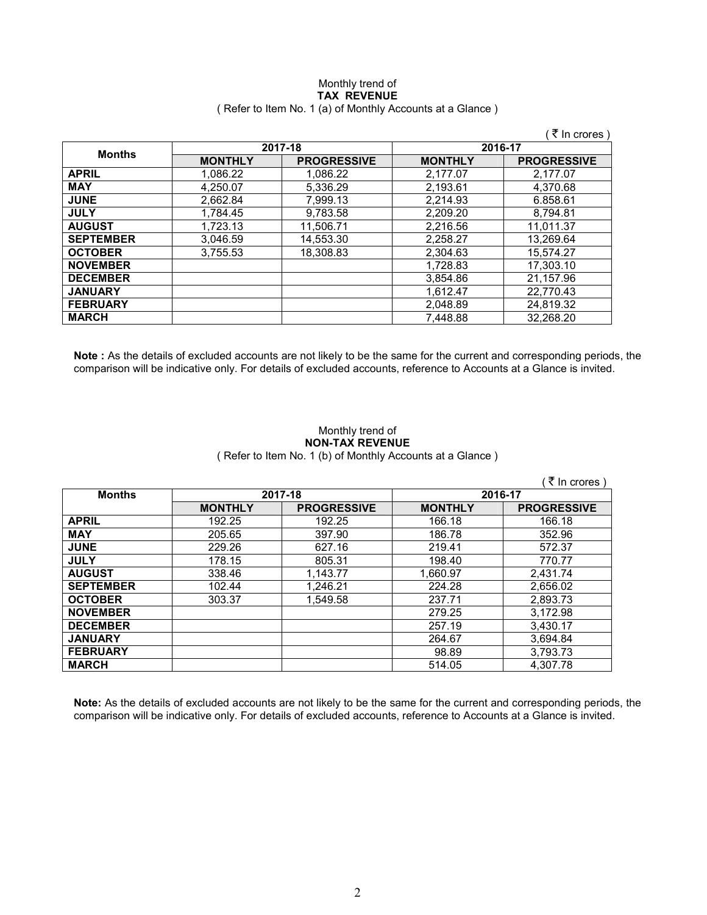# Monthly trend of **TAX REVENUE**  ( Refer to Item No. 1 (a) of Monthly Accounts at a Glance )

|                  |                |                    |                | ( ₹ In crores )    |
|------------------|----------------|--------------------|----------------|--------------------|
|                  |                | 2017-18            |                | 2016-17            |
| <b>Months</b>    | <b>MONTHLY</b> | <b>PROGRESSIVE</b> | <b>MONTHLY</b> | <b>PROGRESSIVE</b> |
| <b>APRIL</b>     | 1.086.22       | 1.086.22           | 2.177.07       | 2.177.07           |
| <b>MAY</b>       | 4,250.07       | 5,336.29           | 2,193.61       | 4,370.68           |
| <b>JUNE</b>      | 2,662.84       | 7,999.13           | 2.214.93       | 6.858.61           |
| <b>JULY</b>      | 1.784.45       | 9,783.58           | 2,209.20       | 8,794.81           |
| <b>AUGUST</b>    | 1,723.13       | 11,506.71          | 2,216.56       | 11,011.37          |
| <b>SEPTEMBER</b> | 3,046.59       | 14,553.30          | 2,258.27       | 13,269.64          |
| <b>OCTOBER</b>   | 3.755.53       | 18.308.83          | 2.304.63       | 15.574.27          |
| <b>NOVEMBER</b>  |                |                    | 1,728.83       | 17,303.10          |
| <b>DECEMBER</b>  |                |                    | 3,854.86       | 21.157.96          |
| <b>JANUARY</b>   |                |                    | 1.612.47       | 22.770.43          |
| <b>FEBRUARY</b>  |                |                    | 2.048.89       | 24.819.32          |
| <b>MARCH</b>     |                |                    | 7.448.88       | 32.268.20          |

**Note :** As the details of excluded accounts are not likely to be the same for the current and corresponding periods, the comparison will be indicative only. For details of excluded accounts, reference to Accounts at a Glance is invited.

# Monthly trend of **NON-TAX REVENUE**  ( Refer to Item No. 1 (b) of Monthly Accounts at a Glance )

|                  |                |                    |                | (₹ In crores)      |
|------------------|----------------|--------------------|----------------|--------------------|
| <b>Months</b>    | 2017-18        |                    | 2016-17        |                    |
|                  | <b>MONTHLY</b> | <b>PROGRESSIVE</b> | <b>MONTHLY</b> | <b>PROGRESSIVE</b> |
| <b>APRIL</b>     | 192.25         | 192.25             | 166.18         | 166.18             |
| <b>MAY</b>       | 205.65         | 397.90             | 186.78         | 352.96             |
| <b>JUNE</b>      | 229.26         | 627.16             | 219.41         | 572.37             |
| <b>JULY</b>      | 178.15         | 805.31             | 198.40         | 770.77             |
| <b>AUGUST</b>    | 338.46         | 1,143.77           | 1,660.97       | 2,431.74           |
| <b>SEPTEMBER</b> | 102.44         | 1,246.21           | 224.28         | 2,656.02           |
| <b>OCTOBER</b>   | 303.37         | 1,549.58           | 237.71         | 2,893.73           |
| <b>NOVEMBER</b>  |                |                    | 279.25         | 3,172.98           |
| <b>DECEMBER</b>  |                |                    | 257.19         | 3,430.17           |
| <b>JANUARY</b>   |                |                    | 264.67         | 3,694.84           |
| <b>FEBRUARY</b>  |                |                    | 98.89          | 3,793.73           |
| <b>MARCH</b>     |                |                    | 514.05         | 4.307.78           |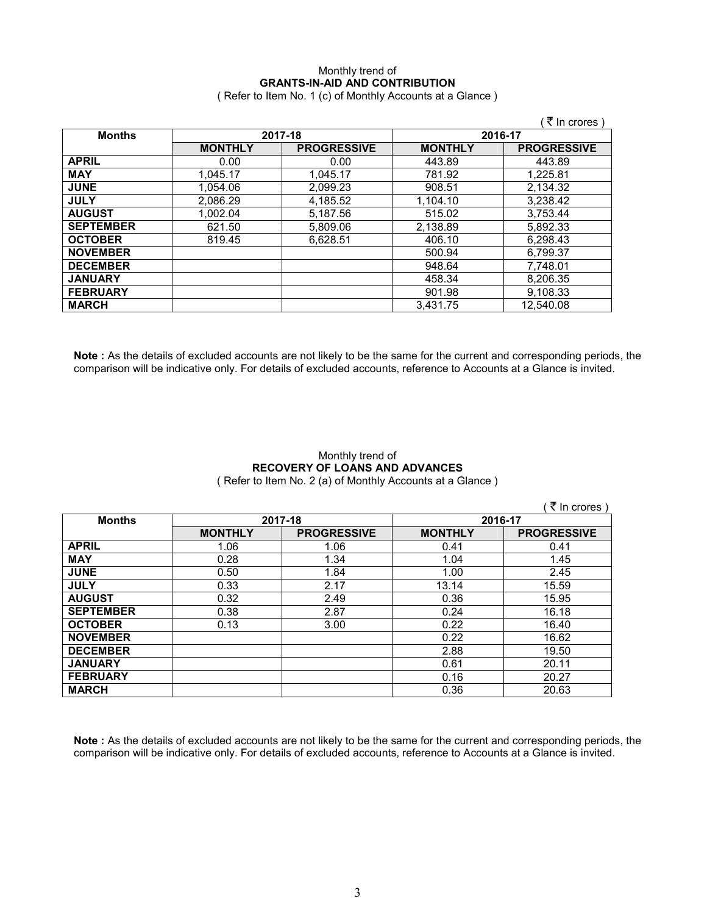# Monthly trend of **GRANTS-IN-AID AND CONTRIBUTION**  ( Refer to Item No. 1 (c) of Monthly Accounts at a Glance )

|                  |                |                    |                | ( ₹ In crores )    |
|------------------|----------------|--------------------|----------------|--------------------|
| <b>Months</b>    | 2017-18        |                    |                | 2016-17            |
|                  | <b>MONTHLY</b> | <b>PROGRESSIVE</b> | <b>MONTHLY</b> | <b>PROGRESSIVE</b> |
| <b>APRIL</b>     | 0.00           | 0.00               | 443.89         | 443.89             |
| <b>MAY</b>       | 1,045.17       | 1,045.17           | 781.92         | 1,225.81           |
| <b>JUNE</b>      | 1,054.06       | 2,099.23           | 908.51         | 2,134.32           |
| <b>JULY</b>      | 2.086.29       | 4,185.52           | 1.104.10       | 3.238.42           |
| <b>AUGUST</b>    | 1.002.04       | 5,187.56           | 515.02         | 3.753.44           |
| <b>SEPTEMBER</b> | 621.50         | 5,809.06           | 2,138.89       | 5,892.33           |
| <b>OCTOBER</b>   | 819.45         | 6,628.51           | 406.10         | 6.298.43           |
| <b>NOVEMBER</b>  |                |                    | 500.94         | 6,799.37           |
| <b>DECEMBER</b>  |                |                    | 948.64         | 7,748.01           |
| <b>JANUARY</b>   |                |                    | 458.34         | 8,206.35           |
| <b>FEBRUARY</b>  |                |                    | 901.98         | 9,108.33           |
| <b>MARCH</b>     |                |                    | 3.431.75       | 12,540.08          |

**Note :** As the details of excluded accounts are not likely to be the same for the current and corresponding periods, the comparison will be indicative only. For details of excluded accounts, reference to Accounts at a Glance is invited.

#### Monthly trend of **RECOVERY OF LOANS AND ADVANCES**  ( Refer to Item No. 2 (a) of Monthly Accounts at a Glance )

 $($   $\bar{z}$  In crores ) **Months 2017-18 2016-17 MONTHLY PROGRESSIVE MONTHLY PROGRESSIVE APRIL** 1.06 1.06 0.41 0.41 **MAY** 0.28 1.34 1.04 1.45 **JUNE** 0.50 1.84 1.00 2.45 **JULY** 0.33 2.17 13.14 15.59 **AUGUST** 0.32 2.49 0.36 15.95 **SEPTEMBER** 0.38 2.87 0.24 16.18<br>**OCTOBER** 0.13 3.00 0.22 16.40 **OCTOBER** | 0.13 | 3.00 | 0.22 | 16.40 **NOVEMBER** 0.22 16.62 **DECEMBER** 2.88 19.50 **JANUARY** 0.61 20.11 **FEBRUARY** 0.16 20.27 **MARCH** 0.36 20.63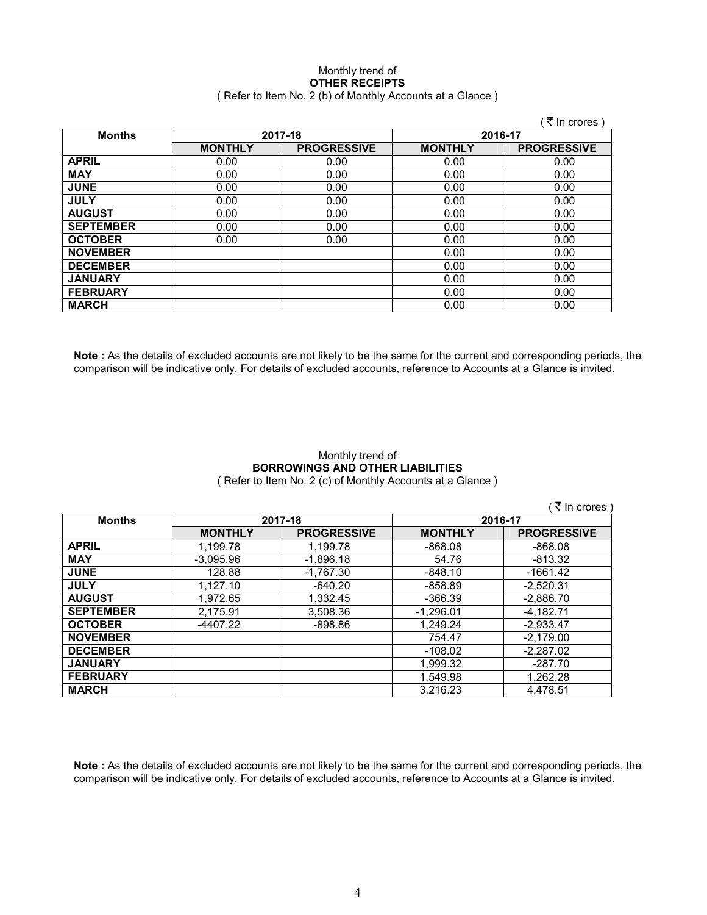# Monthly trend of **OTHER RECEIPTS**  ( Refer to Item No. 2 (b) of Monthly Accounts at a Glance )

|                  |                |                    |                | ′ ₹ In crores `    |
|------------------|----------------|--------------------|----------------|--------------------|
| <b>Months</b>    |                | 2017-18            | 2016-17        |                    |
|                  | <b>MONTHLY</b> | <b>PROGRESSIVE</b> | <b>MONTHLY</b> | <b>PROGRESSIVE</b> |
| <b>APRIL</b>     | 0.00           | 0.00               | 0.00           | 0.00               |
| <b>MAY</b>       | 0.00           | 0.00               | 0.00           | 0.00               |
| <b>JUNE</b>      | 0.00           | 0.00               | 0.00           | 0.00               |
| <b>JULY</b>      | 0.00           | 0.00               | 0.00           | 0.00               |
| <b>AUGUST</b>    | 0.00           | 0.00               | 0.00           | 0.00               |
| <b>SEPTEMBER</b> | 0.00           | 0.00               | 0.00           | 0.00               |
| <b>OCTOBER</b>   | 0.00           | 0.00               | 0.00           | 0.00               |
| <b>NOVEMBER</b>  |                |                    | 0.00           | 0.00               |
| <b>DECEMBER</b>  |                |                    | 0.00           | 0.00               |
| <b>JANUARY</b>   |                |                    | 0.00           | 0.00               |
| <b>FEBRUARY</b>  |                |                    | 0.00           | 0.00               |
| <b>MARCH</b>     |                |                    | 0.00           | 0.00               |

**Note :** As the details of excluded accounts are not likely to be the same for the current and corresponding periods, the comparison will be indicative only. For details of excluded accounts, reference to Accounts at a Glance is invited.

#### Monthly trend of **BORROWINGS AND OTHER LIABILITIES**  ( Refer to Item No. 2 (c) of Monthly Accounts at a Glance )

|                  |                |                    |                | ( ₹ In crores )    |
|------------------|----------------|--------------------|----------------|--------------------|
| <b>Months</b>    |                | 2017-18            | 2016-17        |                    |
|                  | <b>MONTHLY</b> | <b>PROGRESSIVE</b> | <b>MONTHLY</b> | <b>PROGRESSIVE</b> |
| <b>APRIL</b>     | 1.199.78       | 1.199.78           | $-868.08$      | $-868.08$          |
| <b>MAY</b>       | $-3,095.96$    | $-1,896.18$        | 54.76          | $-813.32$          |
| <b>JUNE</b>      | 128.88         | $-1,767.30$        | $-848.10$      | -1661.42           |
| <b>JULY</b>      | 1,127.10       | $-640.20$          | $-858.89$      | $-2.520.31$        |
| <b>AUGUST</b>    | 1.972.65       | 1.332.45           | $-366.39$      | $-2.886.70$        |
| <b>SEPTEMBER</b> | 2.175.91       | 3,508.36           | $-1.296.01$    | $-4.182.71$        |
| <b>OCTOBER</b>   | -4407.22       | $-898.86$          | 1,249.24       | $-2.933.47$        |
| <b>NOVEMBER</b>  |                |                    | 754.47         | $-2.179.00$        |
| <b>DECEMBER</b>  |                |                    | $-108.02$      | $-2.287.02$        |
| <b>JANUARY</b>   |                |                    | 1,999.32       | $-287.70$          |
| <b>FEBRUARY</b>  |                |                    | 1.549.98       | 1.262.28           |
| <b>MARCH</b>     |                |                    | 3.216.23       | 4.478.51           |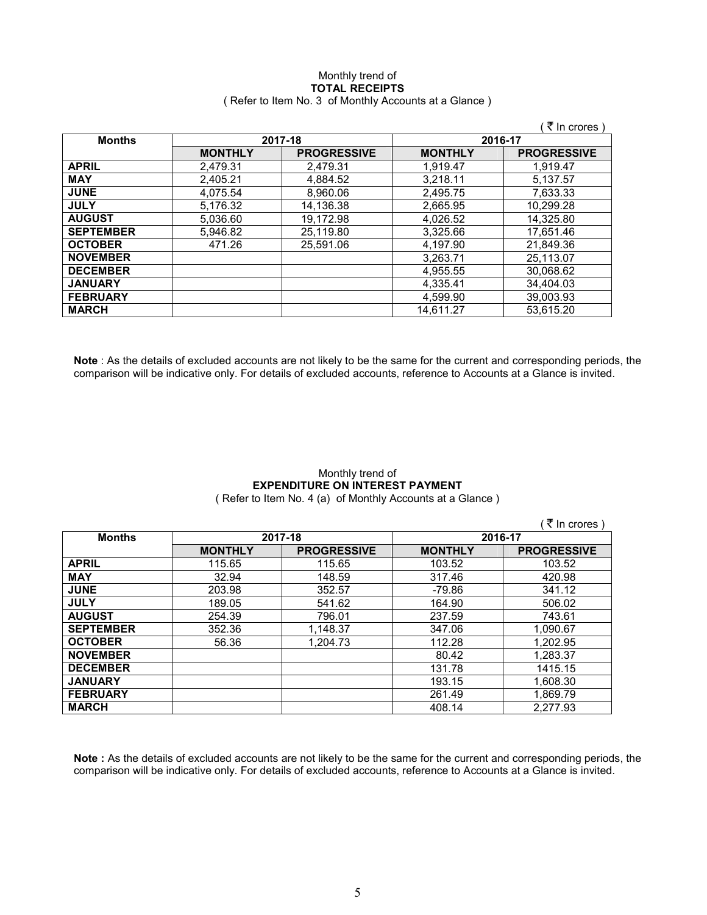# Monthly trend of **TOTAL RECEIPTS**  ( Refer to Item No. 3 of Monthly Accounts at a Glance )

|                  |                |                    |                | (₹ In crores)      |  |         |
|------------------|----------------|--------------------|----------------|--------------------|--|---------|
| <b>Months</b>    | 2017-18        |                    |                |                    |  | 2016-17 |
|                  | <b>MONTHLY</b> | <b>PROGRESSIVE</b> | <b>MONTHLY</b> | <b>PROGRESSIVE</b> |  |         |
| <b>APRIL</b>     | 2,479.31       | 2,479.31           | 1,919.47       | 1.919.47           |  |         |
| <b>MAY</b>       | 2.405.21       | 4,884.52           | 3,218.11       | 5,137.57           |  |         |
| <b>JUNE</b>      | 4,075.54       | 8,960.06           | 2,495.75       | 7,633.33           |  |         |
| <b>JULY</b>      | 5,176.32       | 14,136.38          | 2,665.95       | 10.299.28          |  |         |
| <b>AUGUST</b>    | 5.036.60       | 19.172.98          | 4.026.52       | 14.325.80          |  |         |
| <b>SEPTEMBER</b> | 5,946.82       | 25,119.80          | 3,325.66       | 17,651.46          |  |         |
| <b>OCTOBER</b>   | 471.26         | 25.591.06          | 4.197.90       | 21.849.36          |  |         |
| <b>NOVEMBER</b>  |                |                    | 3.263.71       | 25.113.07          |  |         |
| <b>DECEMBER</b>  |                |                    | 4,955.55       | 30.068.62          |  |         |
| <b>JANUARY</b>   |                |                    | 4.335.41       | 34.404.03          |  |         |
| <b>FEBRUARY</b>  |                |                    | 4.599.90       | 39.003.93          |  |         |
| <b>MARCH</b>     |                |                    | 14.611.27      | 53.615.20          |  |         |

**Note** : As the details of excluded accounts are not likely to be the same for the current and corresponding periods, the comparison will be indicative only. For details of excluded accounts, reference to Accounts at a Glance is invited.

# Monthly trend of **EXPENDITURE ON INTEREST PAYMENT**  ( Refer to Item No. 4 (a) of Monthly Accounts at a Glance )

|                  |                |                    |                | (₹ In crores)      |
|------------------|----------------|--------------------|----------------|--------------------|
| <b>Months</b>    | 2017-18        |                    | 2016-17        |                    |
|                  | <b>MONTHLY</b> | <b>PROGRESSIVE</b> | <b>MONTHLY</b> | <b>PROGRESSIVE</b> |
| <b>APRIL</b>     | 115.65         | 115.65             | 103.52         | 103.52             |
| <b>MAY</b>       | 32.94          | 148.59             | 317.46         | 420.98             |
| <b>JUNE</b>      | 203.98         | 352.57             | $-79.86$       | 341.12             |
| <b>JULY</b>      | 189.05         | 541.62             | 164.90         | 506.02             |
| <b>AUGUST</b>    | 254.39         | 796.01             | 237.59         | 743.61             |
| <b>SEPTEMBER</b> | 352.36         | 1,148.37           | 347.06         | 1,090.67           |
| <b>OCTOBER</b>   | 56.36          | 1,204.73           | 112.28         | 1,202.95           |
| <b>NOVEMBER</b>  |                |                    | 80.42          | 1,283.37           |
| <b>DECEMBER</b>  |                |                    | 131.78         | 1415.15            |
| <b>JANUARY</b>   |                |                    | 193.15         | 1.608.30           |
| <b>FEBRUARY</b>  |                |                    | 261.49         | 1,869.79           |
| <b>MARCH</b>     |                |                    | 408.14         | 2.277.93           |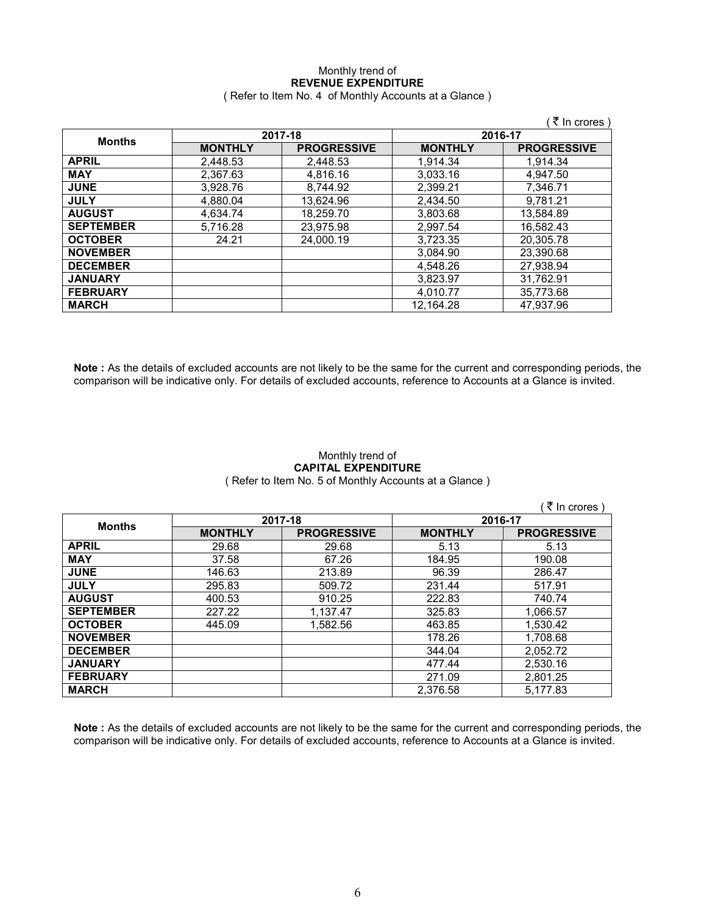# Monthly trend of **REVENUE EXPENDITURE**  ( Refer to Item No. 4 of Monthly Accounts at a Glance )

|                  |                |                    |                | ∶₹ In crores )     |
|------------------|----------------|--------------------|----------------|--------------------|
|                  |                | 2017-18            | 2016-17        |                    |
| <b>Months</b>    | <b>MONTHLY</b> | <b>PROGRESSIVE</b> | <b>MONTHLY</b> | <b>PROGRESSIVE</b> |
| <b>APRIL</b>     | 2,448.53       | 2,448.53           | 1.914.34       | 1,914.34           |
| <b>MAY</b>       | 2,367.63       | 4.816.16           | 3,033.16       | 4.947.50           |
| <b>JUNE</b>      | 3.928.76       | 8.744.92           | 2,399.21       | 7,346.71           |
| <b>JULY</b>      | 4.880.04       | 13.624.96          | 2.434.50       | 9.781.21           |
| <b>AUGUST</b>    | 4.634.74       | 18.259.70          | 3.803.68       | 13.584.89          |
| <b>SEPTEMBER</b> | 5,716.28       | 23,975.98          | 2,997.54       | 16,582.43          |
| <b>OCTOBER</b>   | 24.21          | 24.000.19          | 3.723.35       | 20.305.78          |
| <b>NOVEMBER</b>  |                |                    | 3.084.90       | 23.390.68          |
| <b>DECEMBER</b>  |                |                    | 4,548.26       | 27,938.94          |
| <b>JANUARY</b>   |                |                    | 3.823.97       | 31.762.91          |
| <b>FEBRUARY</b>  |                |                    | 4,010.77       | 35,773.68          |
| <b>MARCH</b>     |                |                    | 12.164.28      | 47.937.96          |

**Note :** As the details of excluded accounts are not likely to be the same for the current and corresponding periods, the comparison will be indicative only. For details of excluded accounts, reference to Accounts at a Glance is invited.

# Monthly trend of **CAPITAL EXPENDITURE**  ( Refer to Item No. 5 of Monthly Accounts at a Glance )

|                  |                |                    |                | (₹ In crores)      |
|------------------|----------------|--------------------|----------------|--------------------|
|                  |                | 2017-18            | 2016-17        |                    |
| <b>Months</b>    | <b>MONTHLY</b> | <b>PROGRESSIVE</b> | <b>MONTHLY</b> | <b>PROGRESSIVE</b> |
| <b>APRIL</b>     | 29.68          | 29.68              | 5.13           | 5.13               |
| <b>MAY</b>       | 37.58          | 67.26              | 184.95         | 190.08             |
| <b>JUNE</b>      | 146.63         | 213.89             | 96.39          | 286.47             |
| <b>JULY</b>      | 295.83         | 509.72             | 231.44         | 517.91             |
| <b>AUGUST</b>    | 400.53         | 910.25             | 222.83         | 740.74             |
| <b>SEPTEMBER</b> | 227.22         | 1,137.47           | 325.83         | 1,066.57           |
| <b>OCTOBER</b>   | 445.09         | 1,582.56           | 463.85         | 1,530.42           |
| <b>NOVEMBER</b>  |                |                    | 178.26         | 1,708.68           |
| <b>DECEMBER</b>  |                |                    | 344.04         | 2.052.72           |
| <b>JANUARY</b>   |                |                    | 477.44         | 2,530.16           |
| <b>FEBRUARY</b>  |                |                    | 271.09         | 2,801.25           |
| <b>MARCH</b>     |                |                    | 2.376.58       | 5.177.83           |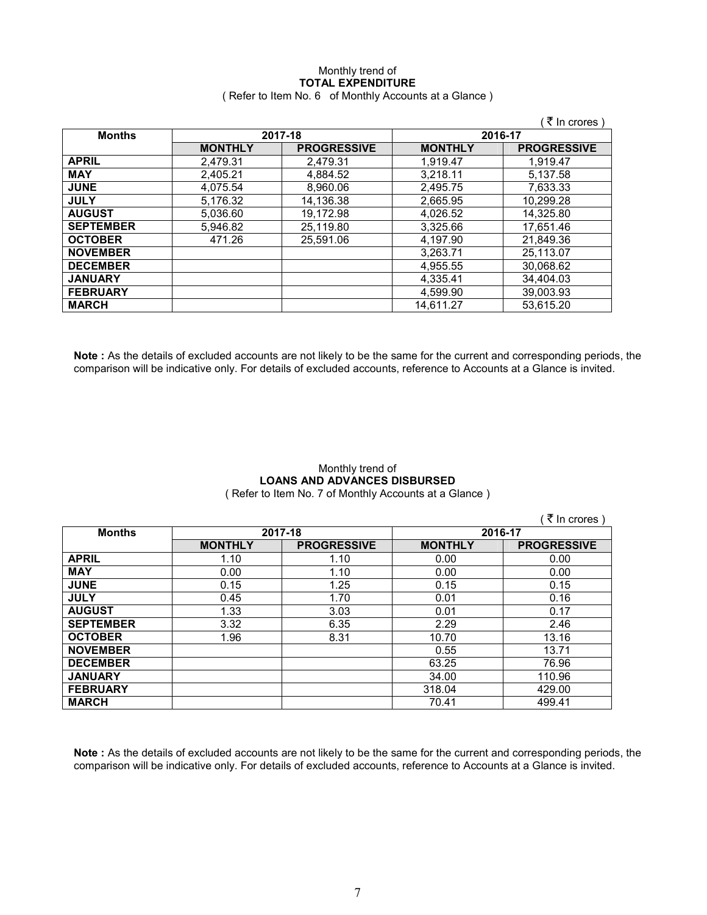# Monthly trend of **TOTAL EXPENDITURE**  ( Refer to Item No. 6 of Monthly Accounts at a Glance )

|                  |                |                    |                | ( ₹ In crores )    |  |         |
|------------------|----------------|--------------------|----------------|--------------------|--|---------|
| <b>Months</b>    | 2017-18        |                    |                |                    |  | 2016-17 |
|                  | <b>MONTHLY</b> | <b>PROGRESSIVE</b> | <b>MONTHLY</b> | <b>PROGRESSIVE</b> |  |         |
| <b>APRIL</b>     | 2,479.31       | 2.479.31           | 1,919.47       | 1.919.47           |  |         |
| <b>MAY</b>       | 2.405.21       | 4,884.52           | 3.218.11       | 5.137.58           |  |         |
| <b>JUNE</b>      | 4.075.54       | 8.960.06           | 2.495.75       | 7.633.33           |  |         |
| <b>JULY</b>      | 5.176.32       | 14,136.38          | 2,665.95       | 10.299.28          |  |         |
| <b>AUGUST</b>    | 5.036.60       | 19.172.98          | 4.026.52       | 14.325.80          |  |         |
| <b>SEPTEMBER</b> | 5,946.82       | 25,119.80          | 3,325.66       | 17,651.46          |  |         |
| <b>OCTOBER</b>   | 471.26         | 25.591.06          | 4.197.90       | 21.849.36          |  |         |
| <b>NOVEMBER</b>  |                |                    | 3,263.71       | 25,113.07          |  |         |
| <b>DECEMBER</b>  |                |                    | 4,955.55       | 30,068.62          |  |         |
| <b>JANUARY</b>   |                |                    | 4,335.41       | 34,404.03          |  |         |
| <b>FEBRUARY</b>  |                |                    | 4,599.90       | 39,003.93          |  |         |
| <b>MARCH</b>     |                |                    | 14.611.27      | 53,615.20          |  |         |

**Note :** As the details of excluded accounts are not likely to be the same for the current and corresponding periods, the comparison will be indicative only. For details of excluded accounts, reference to Accounts at a Glance is invited.

# Monthly trend of **LOANS AND ADVANCES DISBURSED**

( Refer to Item No. 7 of Monthly Accounts at a Glance )

|                  |                |                    |                | ₹ In crores )      |
|------------------|----------------|--------------------|----------------|--------------------|
| <b>Months</b>    | 2017-18        |                    | 2016-17        |                    |
|                  | <b>MONTHLY</b> | <b>PROGRESSIVE</b> | <b>MONTHLY</b> | <b>PROGRESSIVE</b> |
| <b>APRIL</b>     | 1.10           | 1.10               | 0.00           | 0.00               |
| <b>MAY</b>       | 0.00           | 1.10               | 0.00           | 0.00               |
| <b>JUNE</b>      | 0.15           | 1.25               | 0.15           | 0.15               |
| <b>JULY</b>      | 0.45           | 1.70               | 0.01           | 0.16               |
| <b>AUGUST</b>    | 1.33           | 3.03               | 0.01           | 0.17               |
| <b>SEPTEMBER</b> | 3.32           | 6.35               | 2.29           | 2.46               |
| <b>OCTOBER</b>   | 1.96           | 8.31               | 10.70          | 13.16              |
| <b>NOVEMBER</b>  |                |                    | 0.55           | 13.71              |
| <b>DECEMBER</b>  |                |                    | 63.25          | 76.96              |
| <b>JANUARY</b>   |                |                    | 34.00          | 110.96             |
| <b>FEBRUARY</b>  |                |                    | 318.04         | 429.00             |
| <b>MARCH</b>     |                |                    | 70.41          | 499.41             |